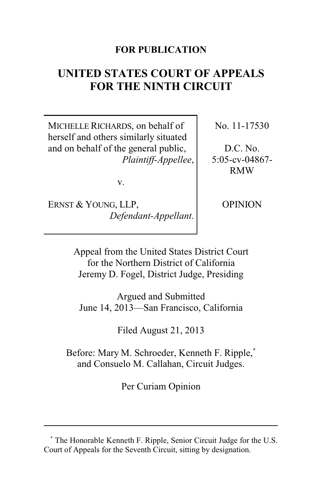## **FOR PUBLICATION**

# **UNITED STATES COURT OF APPEALS FOR THE NINTH CIRCUIT**

MICHELLE RICHARDS, on behalf of herself and others similarly situated and on behalf of the general public, *Plaintiff-Appellee*, No. 11-17530

D.C. No. 5:05-cv-04867- RMW

v.

ERNST & YOUNG, LLP, *Defendant-Appellant*. OPINION

Appeal from the United States District Court for the Northern District of California Jeremy D. Fogel, District Judge, Presiding

Argued and Submitted June 14, 2013—San Francisco, California

Filed August 21, 2013

Before: Mary M. Schroeder, Kenneth F. Ripple,**\*** and Consuelo M. Callahan, Circuit Judges.

Per Curiam Opinion

**<sup>\*</sup>** The Honorable Kenneth F. Ripple, Senior Circuit Judge for the U.S. Court of Appeals for the Seventh Circuit, sitting by designation.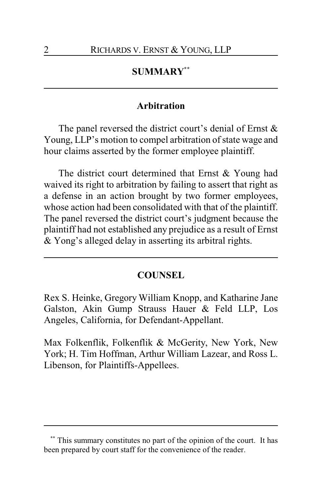# **SUMMARY\*\***

## **Arbitration**

The panel reversed the district court's denial of Ernst  $\&$ Young, LLP's motion to compel arbitration of state wage and hour claims asserted by the former employee plaintiff.

The district court determined that Ernst & Young had waived its right to arbitration by failing to assert that right as a defense in an action brought by two former employees, whose action had been consolidated with that of the plaintiff. The panel reversed the district court's judgment because the plaintiff had not established any prejudice as a result of Ernst & Yong's alleged delay in asserting its arbitral rights.

#### **COUNSEL**

Rex S. Heinke, Gregory William Knopp, and Katharine Jane Galston, Akin Gump Strauss Hauer & Feld LLP, Los Angeles, California, for Defendant-Appellant.

Max Folkenflik, Folkenflik & McGerity, New York, New York; H. Tim Hoffman, Arthur William Lazear, and Ross L. Libenson, for Plaintiffs-Appellees.

This summary constitutes no part of the opinion of the court. It has been prepared by court staff for the convenience of the reader.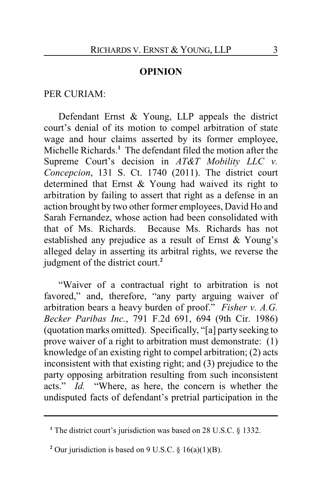## **OPINION**

### PER CURIAM:

Defendant Ernst & Young, LLP appeals the district court's denial of its motion to compel arbitration of state wage and hour claims asserted by its former employee, Michelle Richards.**<sup>1</sup>** The defendant filed the motion after the Supreme Court's decision in *AT&T Mobility LLC v. Concepcion*, 131 S. Ct. 1740 (2011). The district court determined that Ernst & Young had waived its right to arbitration by failing to assert that right as a defense in an action brought by two other former employees, David Ho and Sarah Fernandez, whose action had been consolidated with that of Ms. Richards. Because Ms. Richards has not established any prejudice as a result of Ernst & Young's alleged delay in asserting its arbitral rights, we reverse the judgment of the district court.**<sup>2</sup>**

"Waiver of a contractual right to arbitration is not favored," and, therefore, "any party arguing waiver of arbitration bears a heavy burden of proof." *Fisher v. A.G. Becker Paribas Inc.*, 791 F.2d 691, 694 (9th Cir. 1986) (quotation marks omitted). Specifically, "[a] party seeking to prove waiver of a right to arbitration must demonstrate: (1) knowledge of an existing right to compel arbitration; (2) acts inconsistent with that existing right; and (3) prejudice to the party opposing arbitration resulting from such inconsistent acts." *Id.* "Where, as here, the concern is whether the undisputed facts of defendant's pretrial participation in the

<sup>&</sup>lt;sup>1</sup> The district court's jurisdiction was based on 28 U.S.C. § 1332.

<sup>&</sup>lt;sup>2</sup> Our jurisdiction is based on 9 U.S.C.  $\S$  16(a)(1)(B).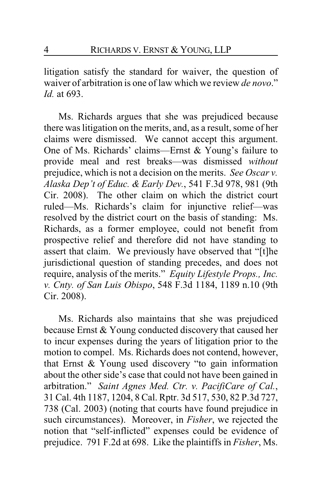litigation satisfy the standard for waiver, the question of waiver of arbitration is one of law which we review *de novo*." *Id.* at 693.

Ms. Richards argues that she was prejudiced because there was litigation on the merits, and, as a result, some of her claims were dismissed. We cannot accept this argument. One of Ms. Richards' claims—Ernst & Young's failure to provide meal and rest breaks—was dismissed *without* prejudice, which is not a decision on the merits. *See Oscar v. Alaska Dep't of Educ. & Early Dev.*, 541 F.3d 978, 981 (9th Cir. 2008). The other claim on which the district court ruled—Ms. Richards's claim for injunctive relief—was resolved by the district court on the basis of standing: Ms. Richards, as a former employee, could not benefit from prospective relief and therefore did not have standing to assert that claim. We previously have observed that "[t]he jurisdictional question of standing precedes, and does not require, analysis of the merits." *Equity Lifestyle Props., Inc. v. Cnty. of San Luis Obispo*, 548 F.3d 1184, 1189 n.10 (9th Cir. 2008).

Ms. Richards also maintains that she was prejudiced because Ernst & Young conducted discovery that caused her to incur expenses during the years of litigation prior to the motion to compel. Ms. Richards does not contend, however, that Ernst & Young used discovery "to gain information about the other side's case that could not have been gained in arbitration." *Saint Agnes Med. Ctr. v. PacifiCare of Cal.*, 31 Cal. 4th 1187, 1204, 8 Cal. Rptr. 3d 517, 530, 82 P.3d 727, 738 (Cal. 2003) (noting that courts have found prejudice in such circumstances). Moreover, in *Fisher*, we rejected the notion that "self-inflicted" expenses could be evidence of prejudice. 791 F.2d at 698. Like the plaintiffs in *Fisher*, Ms.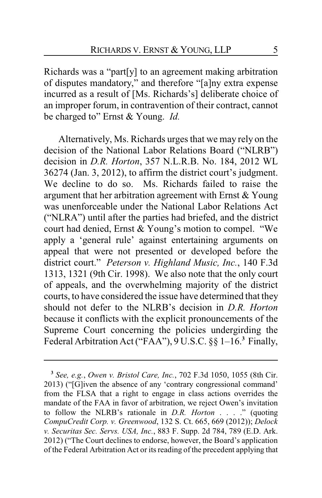Richards was a "part[y] to an agreement making arbitration of disputes mandatory," and therefore "[a]ny extra expense incurred as a result of [Ms. Richards's] deliberate choice of an improper forum, in contravention of their contract, cannot be charged to" Ernst & Young. *Id.*

Alternatively, Ms. Richards urges that we may rely on the decision of the National Labor Relations Board ("NLRB") decision in *D.R. Horton*, 357 N.L.R.B. No. 184, 2012 WL 36274 (Jan. 3, 2012), to affirm the district court's judgment. We decline to do so. Ms. Richards failed to raise the argument that her arbitration agreement with Ernst & Young was unenforceable under the National Labor Relations Act ("NLRA") until after the parties had briefed, and the district court had denied, Ernst & Young's motion to compel. "We apply a 'general rule' against entertaining arguments on appeal that were not presented or developed before the district court." *Peterson v. Highland Music, Inc.*, 140 F.3d 1313, 1321 (9th Cir. 1998). We also note that the only court of appeals, and the overwhelming majority of the district courts, to have considered the issue have determined that they should not defer to the NLRB's decision in *D.R. Horton* because it conflicts with the explicit pronouncements of the Supreme Court concerning the policies undergirding the Federal Arbitration Act ("FAA"), 9 U.S.C. §§ 1–16.**<sup>3</sup>** Finally,

**<sup>3</sup>** *See, e.g.*, *Owen v. Bristol Care, Inc.*, 702 F.3d 1050, 1055 (8th Cir. 2013) ("[G]iven the absence of any 'contrary congressional command' from the FLSA that a right to engage in class actions overrides the mandate of the FAA in favor of arbitration, we reject Owen's invitation to follow the NLRB's rationale in *D.R. Horton* . . . ." (quoting *CompuCredit Corp. v. Greenwood*, 132 S. Ct. 665, 669 (2012)); *Delock v. Securitas Sec. Servs. USA, Inc.*, 883 F. Supp. 2d 784, 789 (E.D. Ark. 2012) ("The Court declines to endorse, however, the Board's application of the Federal Arbitration Act or its reading of the precedent applying that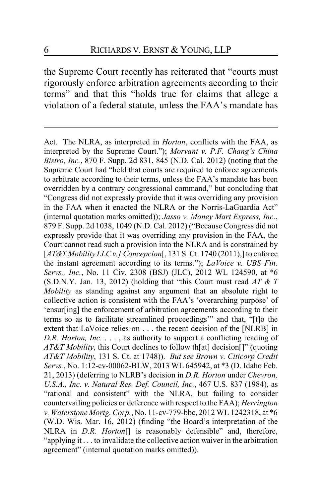the Supreme Court recently has reiterated that "courts must rigorously enforce arbitration agreements according to their terms" and that this "holds true for claims that allege a violation of a federal statute, unless the FAA's mandate has

Act. The NLRA, as interpreted in *Horton*, conflicts with the FAA, as interpreted by the Supreme Court."); *Morvant v. P.F. Chang's China Bistro, Inc.*, 870 F. Supp. 2d 831, 845 (N.D. Cal. 2012) (noting that the Supreme Court had "held that courts are required to enforce agreements to arbitrate according to their terms, unless the FAA's mandate has been overridden by a contrary congressional command," but concluding that "Congress did not expressly provide that it was overriding any provision in the FAA when it enacted the NLRA or the Norris-LaGuardia Act" (internal quotation marks omitted)); *Jasso v. Money Mart Express, Inc.*, 879 F. Supp. 2d 1038, 1049 (N.D. Cal. 2012) ("Because Congress did not expressly provide that it was overriding any provision in the FAA, the Court cannot read such a provision into the NLRA and is constrained by [*AT&T Mobility LLC v.] Concepcion*[, 131 S. Ct. 1740 (2011),] to enforce the instant agreement according to its terms."); *LaVoice v. UBS Fin. Servs., Inc.*, No. 11 Civ. 2308 (BSJ) (JLC), 2012 WL 124590, at \*6 (S.D.N.Y. Jan. 13, 2012) (holding that "this Court must read *AT & T Mobility* as standing against any argument that an absolute right to collective action is consistent with the FAA's 'overarching purpose' of 'ensur[ing] the enforcement of arbitration agreements according to their terms so as to facilitate streamlined proceedings'" and that, "[t]o the extent that LaVoice relies on . . . the recent decision of the [NLRB] in *D.R. Horton, Inc.* . . . , as authority to support a conflicting reading of *AT&T Mobility*, this Court declines to follow th[at] decision[]" (quoting *AT&T Mobility*, 131 S. Ct. at 1748)). *But see Brown v. Citicorp Credit Servs.*, No. 1:12-cv-00062-BLW, 2013 WL 645942, at \*3 (D. Idaho Feb. 21, 2013) (deferring to NLRB's decision in *D.R. Horton* under *Chevron, U.S.A., Inc. v. Natural Res. Def. Council, Inc.*, 467 U.S. 837 (1984), as "rational and consistent" with the NLRA, but failing to consider countervailing policies or deference with respect to the FAA); *Herrington v. Waterstone Mortg. Corp.*, No. 11-cv-779-bbc, 2012 WL 1242318, at \*6 (W.D. Wis. Mar. 16, 2012) (finding "the Board's interpretation of the NLRA in *D.R. Horton*[] is reasonably defensible" and, therefore, "applying it . . . to invalidate the collective action waiver in the arbitration agreement" (internal quotation marks omitted)).